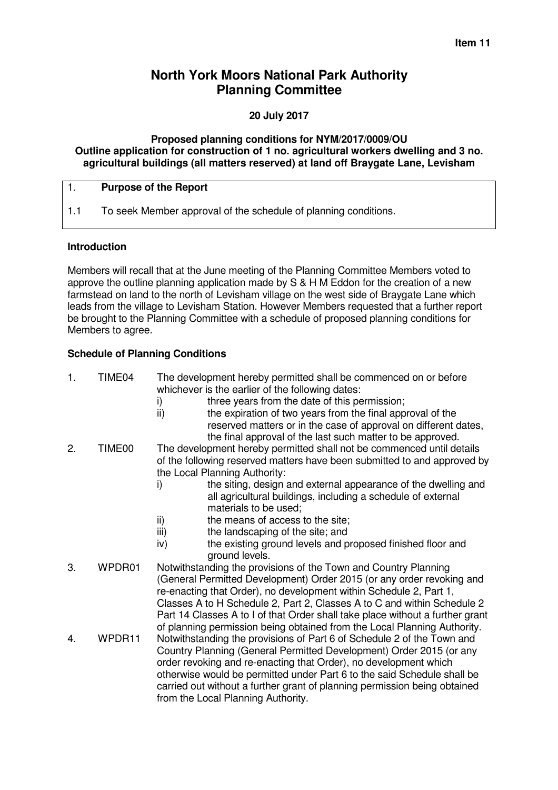# **North York Moors National Park Authority Planning Committee**

# **20 July 2017**

#### **Proposed planning conditions for NYM/2017/0009/OU Outline application for construction of 1 no. agricultural workers dwelling and 3 no. agricultural buildings (all matters reserved) at land off Braygate Lane, Levisham**

#### 1. **Purpose of the Report**

1.1 To seek Member approval of the schedule of planning conditions.

#### **Introduction**

Members will recall that at the June meeting of the Planning Committee Members voted to approve the outline planning application made by S & H M Eddon for the creation of a new farmstead on land to the north of Levisham village on the west side of Braygate Lane which leads from the village to Levisham Station. However Members requested that a further report be brought to the Planning Committee with a schedule of proposed planning conditions for Members to agree.

# **Schedule of Planning Conditions**

| 1. | TIME04             | The development hereby permitted shall be commenced on or before<br>whichever is the earlier of the following dates:<br>three years from the date of this permission;<br>i)<br>ii)<br>the expiration of two years from the final approval of the<br>reserved matters or in the case of approval on different dates,<br>the final approval of the last such matter to be approved.                                                                      |  |
|----|--------------------|--------------------------------------------------------------------------------------------------------------------------------------------------------------------------------------------------------------------------------------------------------------------------------------------------------------------------------------------------------------------------------------------------------------------------------------------------------|--|
| 2. | TIME <sub>00</sub> | The development hereby permitted shall not be commenced until details<br>of the following reserved matters have been submitted to and approved by<br>the Local Planning Authority:<br>the siting, design and external appearance of the dwelling and<br>i)<br>all agricultural buildings, including a schedule of external<br>materials to be used;<br>the means of access to the site;<br>ii)<br>the landscaping of the site; and<br>iii)             |  |
|    |                    | the existing ground levels and proposed finished floor and<br>iv)<br>ground levels.                                                                                                                                                                                                                                                                                                                                                                    |  |
| 3. | WPDR01             | Notwithstanding the provisions of the Town and Country Planning<br>(General Permitted Development) Order 2015 (or any order revoking and<br>re-enacting that Order), no development within Schedule 2, Part 1,<br>Classes A to H Schedule 2, Part 2, Classes A to C and within Schedule 2<br>Part 14 Classes A to I of that Order shall take place without a further grant<br>of planning permission being obtained from the Local Planning Authority. |  |
| 4. | WPDR11             | Notwithstanding the provisions of Part 6 of Schedule 2 of the Town and<br>Country Planning (General Permitted Development) Order 2015 (or any<br>order revoking and re-enacting that Order), no development which<br>otherwise would be permitted under Part 6 to the said Schedule shall be<br>carried out without a further grant of planning permission being obtained<br>from the Local Planning Authority.                                        |  |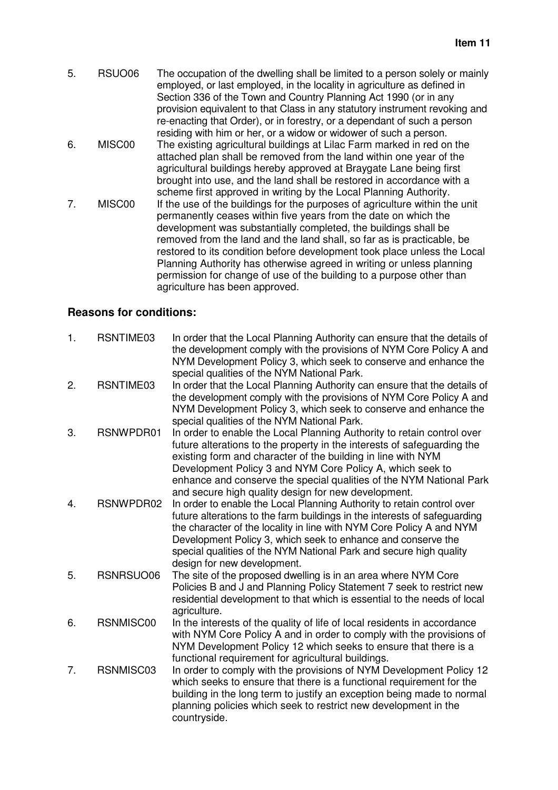5. RSUO06 The occupation of the dwelling shall be limited to a person solely or mainly employed, or last employed, in the locality in agriculture as defined in Section 336 of the Town and Country Planning Act 1990 (or in any provision equivalent to that Class in any statutory instrument revoking and re-enacting that Order), or in forestry, or a dependant of such a person residing with him or her, or a widow or widower of such a person. 6. MISC00 The existing agricultural buildings at Lilac Farm marked in red on the attached plan shall be removed from the land within one year of the agricultural buildings hereby approved at Braygate Lane being first brought into use, and the land shall be restored in accordance with a scheme first approved in writing by the Local Planning Authority. 7. MISC00 If the use of the buildings for the purposes of agriculture within the unit permanently ceases within five years from the date on which the development was substantially completed, the buildings shall be removed from the land and the land shall, so far as is practicable, be restored to its condition before development took place unless the Local Planning Authority has otherwise agreed in writing or unless planning permission for change of use of the building to a purpose other than agriculture has been approved.

# **Reasons for conditions:**

| 1. | RSNTIME03 | In order that the Local Planning Authority can ensure that the details of<br>the development comply with the provisions of NYM Core Policy A and<br>NYM Development Policy 3, which seek to conserve and enhance the<br>special qualities of the NYM National Park.                                                                                                                                          |
|----|-----------|--------------------------------------------------------------------------------------------------------------------------------------------------------------------------------------------------------------------------------------------------------------------------------------------------------------------------------------------------------------------------------------------------------------|
| 2. | RSNTIME03 | In order that the Local Planning Authority can ensure that the details of<br>the development comply with the provisions of NYM Core Policy A and<br>NYM Development Policy 3, which seek to conserve and enhance the<br>special qualities of the NYM National Park.                                                                                                                                          |
| 3. | RSNWPDR01 | In order to enable the Local Planning Authority to retain control over<br>future alterations to the property in the interests of safeguarding the<br>existing form and character of the building in line with NYM<br>Development Policy 3 and NYM Core Policy A, which seek to<br>enhance and conserve the special qualities of the NYM National Park<br>and secure high quality design for new development. |
| 4. | RSNWPDR02 | In order to enable the Local Planning Authority to retain control over<br>future alterations to the farm buildings in the interests of safeguarding<br>the character of the locality in line with NYM Core Policy A and NYM<br>Development Policy 3, which seek to enhance and conserve the<br>special qualities of the NYM National Park and secure high quality<br>design for new development.             |
| 5. | RSNRSUO06 | The site of the proposed dwelling is in an area where NYM Core<br>Policies B and J and Planning Policy Statement 7 seek to restrict new<br>residential development to that which is essential to the needs of local<br>agriculture.                                                                                                                                                                          |
| 6. | RSNMISC00 | In the interests of the quality of life of local residents in accordance<br>with NYM Core Policy A and in order to comply with the provisions of<br>NYM Development Policy 12 which seeks to ensure that there is a<br>functional requirement for agricultural buildings.                                                                                                                                    |
| 7. | RSNMISC03 | In order to comply with the provisions of NYM Development Policy 12<br>which seeks to ensure that there is a functional requirement for the<br>building in the long term to justify an exception being made to normal<br>planning policies which seek to restrict new development in the<br>countryside.                                                                                                     |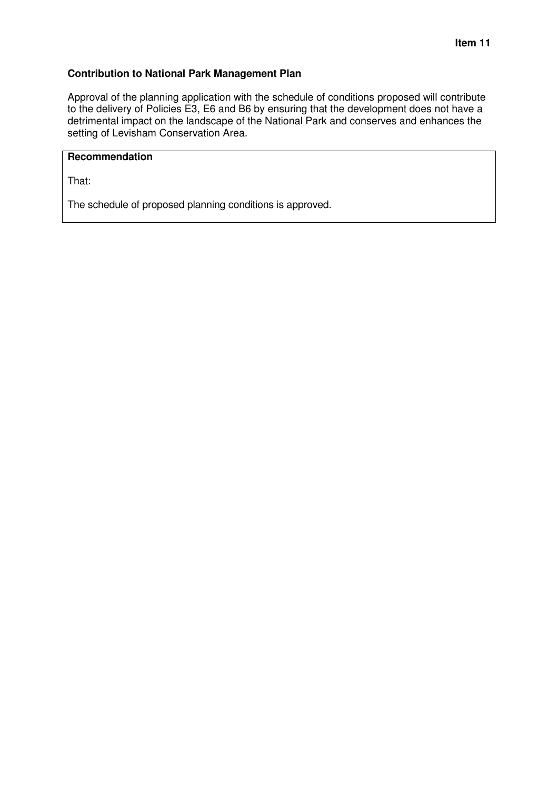## **Contribution to National Park Management Plan**

Approval of the planning application with the schedule of conditions proposed will contribute to the delivery of Policies E3, E6 and B6 by ensuring that the development does not have a detrimental impact on the landscape of the National Park and conserves and enhances the setting of Levisham Conservation Area.

# **Recommendation**

That:

The schedule of proposed planning conditions is approved.